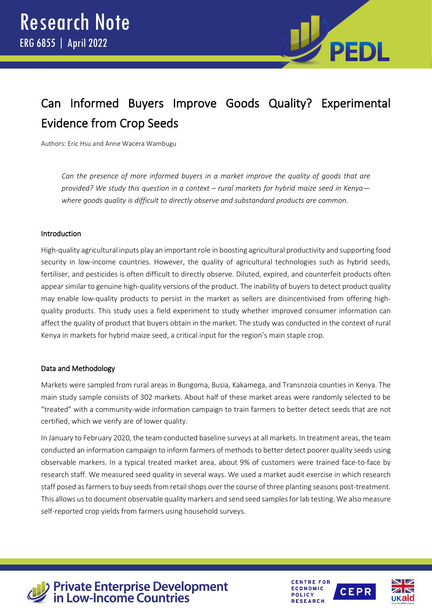

# Can Informed Buyers Improve Goods Quality? Experimental Evidence from Crop Seeds

Authors: Eric Hsu and Anne Wacera Wambugu

*Can the presence of more informed buyers in a market improve the quality of goods that are provided? We study this question in a context – rural markets for hybrid maize seed in Kenya where goods quality is difficult to directly observe and substandard products are common.*

# Introduction

High-quality agricultural inputs play an important role in boosting agricultural productivity and supporting food security in low-income countries. However, the quality of agricultural technologies such as hybrid seeds, fertiliser, and pesticides is often difficult to directly observe. Diluted, expired, and counterfeit products often appear similar to genuine high-quality versions of the product. The inability of buyers to detect product quality may enable low-quality products to persist in the market as sellers are disincentivised from offering highquality products. This study uses a field experiment to study whether improved consumer information can affect the quality of product that buyers obtain in the market. The study was conducted in the context of rural Kenya in markets for hybrid maize seed, a critical input for the region's main staple crop.

# Data and Methodology

Markets were sampled from rural areas in Bungoma, Busia, Kakamega, and Transnzoia counties in Kenya. The main study sample consists of 302 markets. About half of these market areas were randomly selected to be "treated" with a community-wide information campaign to train farmers to better detect seeds that are not certified, which we verify are of lower quality.

In January to February 2020, the team conducted baseline surveys at all markets. In treatment areas, the team conducted an information campaign to inform farmers of methods to better detect poorer quality seeds using observable markers. In a typical treated market area, about 9% of customers were trained face-to-face by research staff. We measured seed quality in several ways. We used a market audit exercise in which research staff posed as farmers to buy seeds from retail shops over the course of three planting seasons post-treatment. This allows us to document observable quality markers and send seed samples for lab testing. We also measure self-reported crop yields from farmers using household surveys.



**Private Enterprise Development<br>in Low-Income Countries**